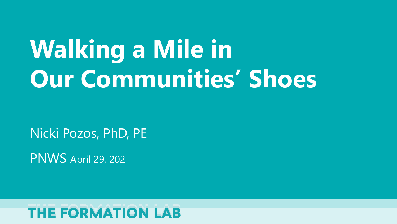# **Walking a Mile in Our Communities' Shoes**

Nicki Pozos, PhD, PE

PNWS April 29, 202

#### **THE FORMATION LAB**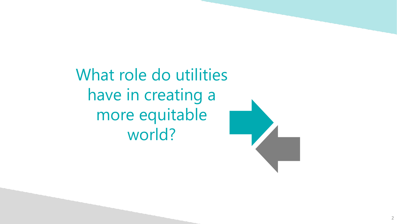What role do utilities have in creating a more equitable world?

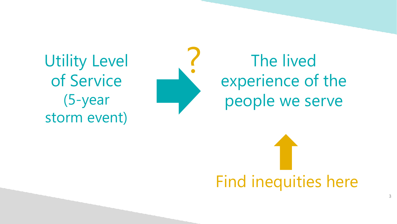Utility Level of Service (5-year storm event)



# ? The lived experience of the people we serve

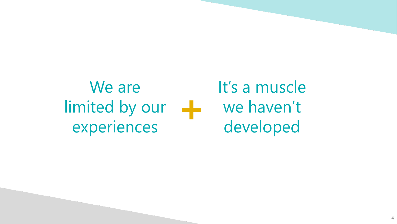#### We are limited by our experiences **+**

It's a muscle we haven't developed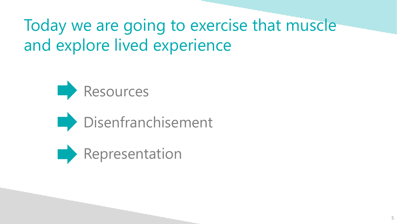## Today we are going to exercise that muscle and explore lived experience





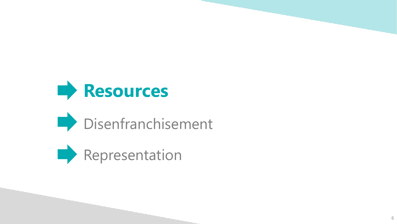



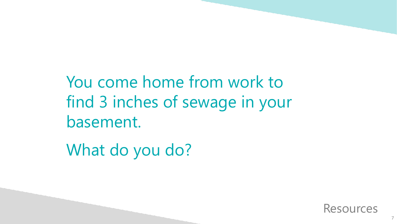You come home from work to find 3 inches of sewage in your basement.

What do you do?

Resources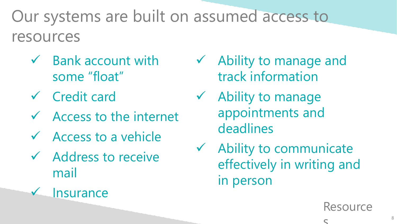#### Our systems are built on assumed access to resources

- $\checkmark$  Bank account with some "float"
- Credit card
- $\sqrt{ }$  Access to the internet
- $\checkmark$  Access to a vehicle
- $\checkmark$  Address to receive mail



- Ability to manage and track information
- $\checkmark$  Ability to manage appointments and deadlines
- $\checkmark$  Ability to communicate effectively in writing and in person

**Resource** 

 $\mathbf C$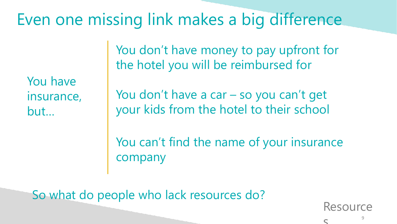#### Even one missing link makes a big difference

You have insurance, but…

You don't have money to pay upfront for the hotel you will be reimbursed for

You don't have a car – so you can't get your kids from the hotel to their school

You can't find the name of your insurance company

So what do people who lack resources do?

**Resource** 

 $\mathbf C$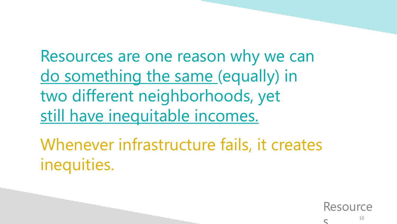Resources are one reason why we can do something the same (equally) in two different neighborhoods, yet still have inequitable incomes.

Whenever infrastructure fails, it creates inequities.

Resource

 $\subset$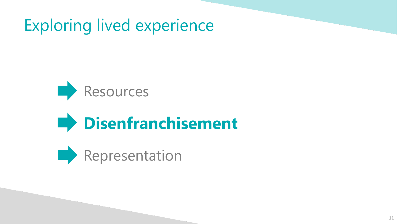Exploring lived experience



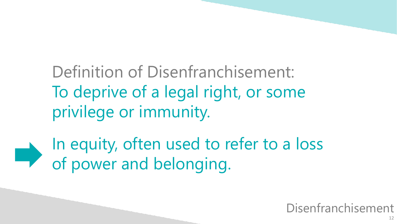Definition of Disenfranchisement: To deprive of a legal right, or some privilege or immunity.

In equity, often used to refer to a loss of power and belonging.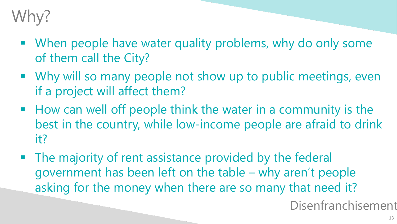## Why?

- When people have water quality problems, why do only some of them call the City?
- Why will so many people not show up to public meetings, even if a project will affect them?
- How can well off people think the water in a community is the best in the country, while low-income people are afraid to drink it?
- The majority of rent assistance provided by the federal government has been left on the table – why aren't people asking for the money when there are so many that need it?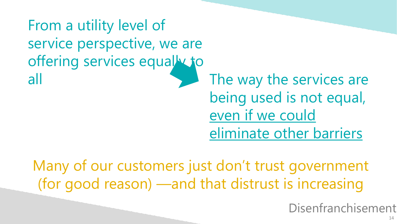From a utility level of service perspective, we are offering services equally to all all the way the services are being used is not equal, even if we could eliminate other barriers

Many of our customers just don't trust government (for good reason) —and that distrust is increasing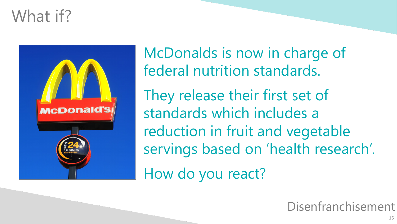#### What if?



McDonalds is now in charge of federal nutrition standards.

They release their first set of standards which includes a reduction in fruit and vegetable servings based on 'health research'.

How do you react?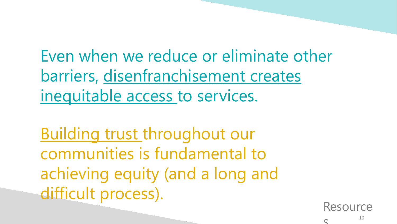Even when we reduce or eliminate other barriers, disenfranchisement creates inequitable access to services.

Building trust throughout our communities is fundamental to achieving equity (and a long and difficult process).

Resource

 $\subset$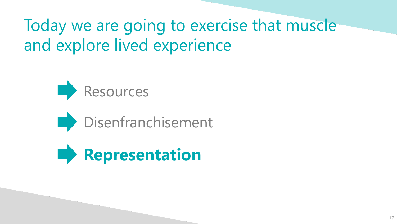### Today we are going to exercise that muscle and explore lived experience





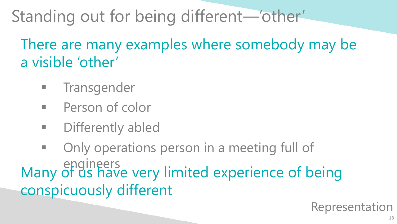## Standing out for being different—'other'

There are many examples where somebody may be a visible 'other'

- Transgender
- **Person of color**
- **EXECUTE:** Differently abled
- Only operations person in a meeting full of engineers Many of us have very limited experience of being conspicuously different

Representation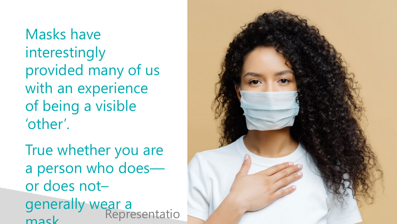Masks have interestingly provided many of us with an experience of being a visible 'other'.

True whether you are a person who does or does not – generally wear a mask Representatio

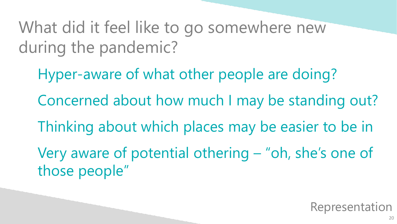What did it feel like to go somewhere new during the pandemic?

Hyper-aware of what other people are doing? Concerned about how much I may be standing out? Thinking about which places may be easier to be in Very aware of potential othering – "oh, she's one of those people"

Representation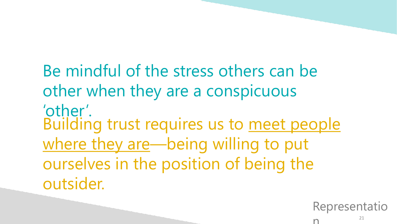Be mindful of the stress others can be other when they are a conspicuous 'other'. Building trust requires us to meet people where they are—being willing to put ourselves in the position of being the outsider.

Representatio

n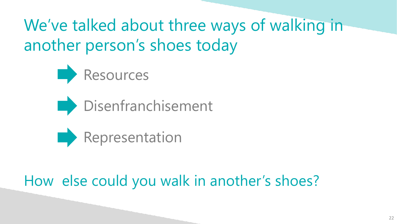We've talked about three ways of walking in another person's shoes today







#### How else could you walk in another's shoes?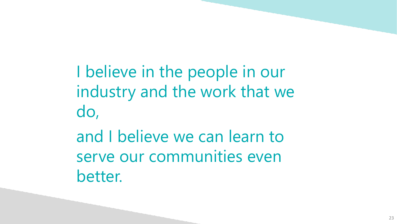I believe in the people in our industry and the work that we do,

and I believe we can learn to serve our communities even better.